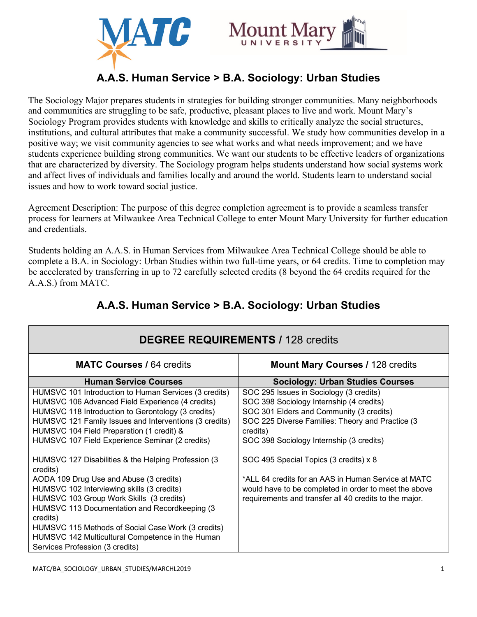



# **A.A.S. Human Service > B.A. Sociology: Urban Studies**

The Sociology Major prepares students in strategies for building stronger communities. Many neighborhoods and communities are struggling to be safe, productive, pleasant places to live and work. Mount Mary's Sociology Program provides students with knowledge and skills to critically analyze the social structures, institutions, and cultural attributes that make a community successful. We study how communities develop in a positive way; we visit community agencies to see what works and what needs improvement; and we have students experience building strong communities. We want our students to be effective leaders of organizations that are characterized by diversity. The Sociology program helps students understand how social systems work and affect lives of individuals and families locally and around the world. Students learn to understand social issues and how to work toward social justice.

Agreement Description: The purpose of this degree completion agreement is to provide a seamless transfer process for learners at Milwaukee Area Technical College to enter Mount Mary University for further education and credentials.

Students holding an A.A.S. in Human Services from Milwaukee Area Technical College should be able to complete a B.A. in Sociology: Urban Studies within two full-time years, or 64 credits. Time to completion may be accelerated by transferring in up to 72 carefully selected credits (8 beyond the 64 credits required for the A.A.S.) from MATC.

| <b>DEGREE REQUIREMENTS / 128 credits</b>                                                                                                                                                                                                                                                                                                                                          |                                                                                                                                                                                                                                                                                       |  |
|-----------------------------------------------------------------------------------------------------------------------------------------------------------------------------------------------------------------------------------------------------------------------------------------------------------------------------------------------------------------------------------|---------------------------------------------------------------------------------------------------------------------------------------------------------------------------------------------------------------------------------------------------------------------------------------|--|
| <b>MATC Courses / 64 credits</b>                                                                                                                                                                                                                                                                                                                                                  | <b>Mount Mary Courses / 128 credits</b>                                                                                                                                                                                                                                               |  |
| <b>Human Service Courses</b>                                                                                                                                                                                                                                                                                                                                                      | <b>Sociology: Urban Studies Courses</b>                                                                                                                                                                                                                                               |  |
| HUMSVC 101 Introduction to Human Services (3 credits)<br>HUMSVC 106 Advanced Field Experience (4 credits)<br>HUMSVC 118 Introduction to Gerontology (3 credits)<br>HUMSVC 121 Family Issues and Interventions (3 credits)<br>HUMSVC 104 Field Preparation (1 credit) &<br>HUMSVC 107 Field Experience Seminar (2 credits)<br>HUMSVC 127 Disabilities & the Helping Profession (3) | SOC 295 Issues in Sociology (3 credits)<br>SOC 398 Sociology Internship (4 credits)<br>SOC 301 Elders and Community (3 credits)<br>SOC 225 Diverse Families: Theory and Practice (3<br>credits)<br>SOC 398 Sociology Internship (3 credits)<br>SOC 495 Special Topics (3 credits) x 8 |  |
| credits)<br>AODA 109 Drug Use and Abuse (3 credits)<br>HUMSVC 102 Interviewing skills (3 credits)<br>HUMSVC 103 Group Work Skills (3 credits)<br>HUMSVC 113 Documentation and Recordkeeping (3<br>credits)<br>HUMSVC 115 Methods of Social Case Work (3 credits)<br>HUMSVC 142 Multicultural Competence in the Human<br>Services Profession (3 credits)                           | *ALL 64 credits for an AAS in Human Service at MATC<br>would have to be completed in order to meet the above<br>requirements and transfer all 40 credits to the major.                                                                                                                |  |

## **A.A.S. Human Service > B.A. Sociology: Urban Studies**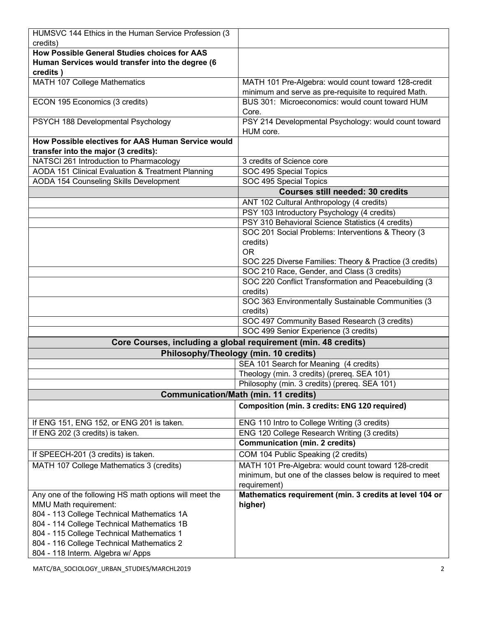| HUMSVC 144 Ethics in the Human Service Profession (3<br>credits) |                                                                |
|------------------------------------------------------------------|----------------------------------------------------------------|
| How Possible General Studies choices for AAS                     |                                                                |
|                                                                  |                                                                |
| Human Services would transfer into the degree (6                 |                                                                |
| credits)                                                         |                                                                |
| <b>MATH 107 College Mathematics</b>                              | MATH 101 Pre-Algebra: would count toward 128-credit            |
|                                                                  | minimum and serve as pre-requisite to required Math.           |
| ECON 195 Economics (3 credits)                                   | BUS 301: Microeconomics: would count toward HUM                |
|                                                                  | Core.                                                          |
| PSYCH 188 Developmental Psychology                               | PSY 214 Developmental Psychology: would count toward           |
|                                                                  | HUM core.                                                      |
| How Possible electives for AAS Human Service would               |                                                                |
| transfer into the major (3 credits):                             |                                                                |
| NATSCI 261 Introduction to Pharmacology                          | 3 credits of Science core                                      |
| AODA 151 Clinical Evaluation & Treatment Planning                | SOC 495 Special Topics                                         |
| AODA 154 Counseling Skills Development                           | SOC 495 Special Topics                                         |
|                                                                  | <b>Courses still needed: 30 credits</b>                        |
|                                                                  | ANT 102 Cultural Anthropology (4 credits)                      |
|                                                                  | PSY 103 Introductory Psychology (4 credits)                    |
|                                                                  | PSY 310 Behavioral Science Statistics (4 credits)              |
|                                                                  | SOC 201 Social Problems: Interventions & Theory (3)            |
|                                                                  | credits)                                                       |
|                                                                  | <b>OR</b>                                                      |
|                                                                  | SOC 225 Diverse Families: Theory & Practice (3 credits)        |
|                                                                  | SOC 210 Race, Gender, and Class (3 credits)                    |
|                                                                  | SOC 220 Conflict Transformation and Peacebuilding (3           |
|                                                                  | credits)                                                       |
|                                                                  | SOC 363 Environmentally Sustainable Communities (3             |
|                                                                  | credits)                                                       |
|                                                                  | SOC 497 Community Based Research (3 credits)                   |
|                                                                  | SOC 499 Senior Experience (3 credits)                          |
|                                                                  | Core Courses, including a global requirement (min. 48 credits) |
| Philosophy/Theology (min. 10 credits)                            |                                                                |
|                                                                  | SEA 101 Search for Meaning (4 credits)                         |
|                                                                  | Theology (min. 3 credits) (prereq. SEA 101)                    |
|                                                                  | Philosophy (min. 3 credits) (prereq. SEA 101)                  |
|                                                                  |                                                                |
| <b>Communication/Math (min. 11 credits)</b>                      |                                                                |
|                                                                  | Composition (min. 3 credits: ENG 120 required)                 |
| If ENG 151, ENG 152, or ENG 201 is taken.                        | ENG 110 Intro to College Writing (3 credits)                   |
| If ENG 202 (3 credits) is taken.                                 | ENG 120 College Research Writing (3 credits)                   |
|                                                                  | <b>Communication (min. 2 credits)</b>                          |
| If SPEECH-201 (3 credits) is taken.                              | COM 104 Public Speaking (2 credits)                            |
| MATH 107 College Mathematics 3 (credits)                         | MATH 101 Pre-Algebra: would count toward 128-credit            |
|                                                                  |                                                                |
|                                                                  | minimum, but one of the classes below is required to meet      |
|                                                                  | requirement)                                                   |
| Any one of the following HS math options will meet the           | Mathematics requirement (min. 3 credits at level 104 or        |
| MMU Math requirement:                                            | higher)                                                        |
| 804 - 113 College Technical Mathematics 1A                       |                                                                |
| 804 - 114 College Technical Mathematics 1B                       |                                                                |
| 804 - 115 College Technical Mathematics 1                        |                                                                |
| 804 - 116 College Technical Mathematics 2                        |                                                                |
| 804 - 118 Interm. Algebra w/ Apps                                |                                                                |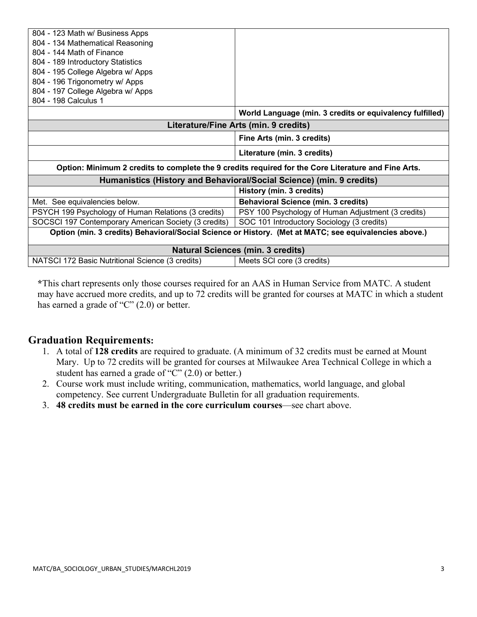| 804 - 123 Math w/ Business Apps                                                                       |                                                          |
|-------------------------------------------------------------------------------------------------------|----------------------------------------------------------|
| 804 - 134 Mathematical Reasoning                                                                      |                                                          |
| 804 - 144 Math of Finance                                                                             |                                                          |
| 804 - 189 Introductory Statistics                                                                     |                                                          |
| 804 - 195 College Algebra w/ Apps                                                                     |                                                          |
| 804 - 196 Trigonometry w/ Apps                                                                        |                                                          |
| 804 - 197 College Algebra w/ Apps                                                                     |                                                          |
| 804 - 198 Calculus 1                                                                                  |                                                          |
|                                                                                                       | World Language (min. 3 credits or equivalency fulfilled) |
| Literature/Fine Arts (min. 9 credits)                                                                 |                                                          |
|                                                                                                       | Fine Arts (min. 3 credits)                               |
|                                                                                                       | Literature (min. 3 credits)                              |
| Option: Minimum 2 credits to complete the 9 credits required for the Core Literature and Fine Arts.   |                                                          |
| Humanistics (History and Behavioral/Social Science) (min. 9 credits)                                  |                                                          |
|                                                                                                       | History (min. 3 credits)                                 |
| Met. See equivalencies below.                                                                         | <b>Behavioral Science (min. 3 credits)</b>               |
| PSYCH 199 Psychology of Human Relations (3 credits)                                                   | PSY 100 Psychology of Human Adjustment (3 credits)       |
| SOCSCI 197 Contemporary American Society (3 credits)                                                  | SOC 101 Introductory Sociology (3 credits)               |
| Option (min. 3 credits) Behavioral/Social Science or History. (Met at MATC; see equivalencies above.) |                                                          |
| <b>Natural Sciences (min. 3 credits)</b>                                                              |                                                          |
| NATSCI 172 Basic Nutritional Science (3 credits)                                                      | Meets SCI core (3 credits)                               |

**\***This chart represents only those courses required for an AAS in Human Service from MATC. A student may have accrued more credits, and up to 72 credits will be granted for courses at MATC in which a student has earned a grade of "C" (2.0) or better.

## **Graduation Requirements:**

- 1. A total of **128 credits** are required to graduate. (A minimum of 32 credits must be earned at Mount Mary. Up to 72 credits will be granted for courses at Milwaukee Area Technical College in which a student has earned a grade of "C" (2.0) or better.)
- 2. Course work must include writing, communication, mathematics, world language, and global competency. See current Undergraduate Bulletin for all graduation requirements.
- 3. **48 credits must be earned in the core curriculum courses**—see chart above.